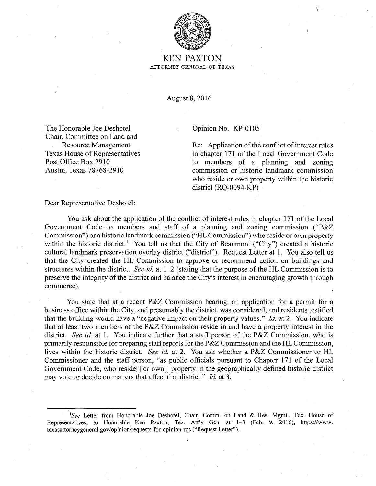

## KEN PAXTON ATTORNEY GENERAL OF TEXAS

August 8, 2016

The Honorable Joe Deshotel Chair, Committee on Land and Resource Management Texas House of Representatives Post Office Box 2910 Austin, Texas 78768-2910

## Opinion No. KP-0105

Re: Application of the conflict of interest rules in chapter 171 of the Local Government Code to members of a planning and zoning commission or historic landmark commission who reside or own property within the historic district (RQ-0094-KP)

Dear Representative Deshotel:

You ask about the application of the conflict of interest rules in chapter 171 of the Local Government Code· to members and staff of a planning and zoning commission ("P&Z Commission") or a historic landmark commission ("HL Commission") who reside or own property within the historic district.<sup>1</sup> You tell us that the City of Beaumont ("City") created a historic cultural landmark preservation overlay district ("district"). Request Letter at 1. You also tell us that the City created the HL Commission to approve or recommend action on buildings and structures within the district. *See id* at 1-2 (stating that the purpose of the HL Commission is to preserve the integrity of the district and balance the City's interest in encouraging growth through commerce).

You state that at a recent P&Z Commission hearing, an application for a permit for a business office within the City, and presumably the district, was considered, and residents testified that the building would have a "negative impact on their property values." *Id.* at 2. You indicate that at least two members of the P&Z Commission reside in and have a property interest in the district. *See id.* at 1. You indicate further that a staff person of the P&Z Commission, who is primarily responsible for preparing staff reports for the P&Z Commission and the HL Commission, lives within the historic district. *See id.* at 2. You ask whether a P&Z Commissioner or HL Commissioner and the staff person, "as public officials pursuant to Chapter 171 of the Local Government Code, who reside[] or own[] property in the geographically defined historic district may vote or decide on matters that affect that district." *Id.* at 3.

<sup>&</sup>lt;sup>1</sup>See Letter from Honorable Joe Deshotel, Chair, Comm. on Land & Res. Mgmt., Tex. House of Representatives, to Honorable Ken Paxton, Tex. Att'y Gen. at 1-3 (Feb. 9, 2016), https://www. texasattomeygeneral.gov/opinion/requests-for-opinion-rqs ("Request Letter").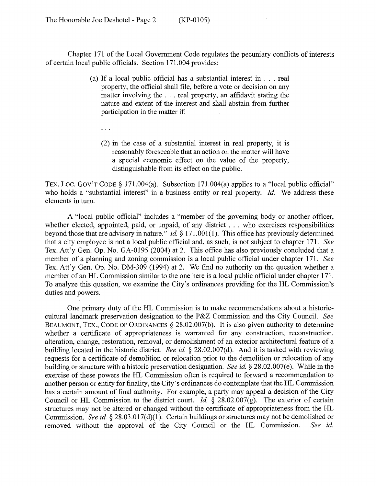Chapter 171 of the Local Government Code regulates the pecuniary conflicts of interests of certain local public officials. Section 171.004 provides:

- (a) If a local public official has a substantial interest in ... real property, the official shall file, before a vote or decision on any matter involving the ... real property, an affidavit stating the nature and extent of the interest and shall abstain from further participation in the matter if:
	- $\mathbb{R}^2$
	- (2) in the case of a substantial interest in real property, it is reasonably foreseeable that an action on the matter will have a special economic effect on the value of the property, distinguishable from its effect on the public.

TEX. LOC. GOV'T CODE § 171.004(a). Subsection 171.004(a) applies to a "local public official" who holds a "substantial interest" in a business entity or real property. *Id.* We address these elements in tum.

A "local public official" includes a "member of the governing body or another officer, whether elected, appointed, paid, or unpaid, of any district . . . who exercises responsibilities beyond those that are advisory in nature." *Id.* § 171.001(1). This office has previously determined that a city employee is not a local public official and, as such, is not subject to chapter 171. *See*  Tex. Att'y Gen. Op. No. GA-0195 (2004) at 2. This office has also previously concluded that a member of a planning and zoning commission is a local public official under chapter 171. *See*  Tex. Att'y Gen. Op. No. DM-309 (1994) at 2. We find no authority on the question whether a member of an HL Commission similar to the one here is a local public official under chapter 171. To analyze this question, we examine the City's ordinances providing for the HL Commission's duties and powers.

One primary duty of the HL Commission is to make recommendations about a historiccultural landmark preservation designation to the P&Z Commission and the City Council. *See*  BEAUMONT, TEX., CODE OF ORDINANCES  $\S$  28.02.007(b). It is also given authority to determine whether a certificate of appropriateness is warranted for any construction, reconstruction, alteration, change, restoration, removal, or demolishment of an exterior architectural feature of a building located in the historic district. *See id.* § 28.02.007(d). And it is tasked with reviewing requests for a certificate of demolition or relocation prior to the demolition or relocation of any building or structure with a historic preservation designation. *See id.* § 28.02.007(e). While in the exercise of these powers the HL Commission often is required to forward a recommendation to another person or entity for finality, the City's ordinances do contemplate that the HL Commission has a certain amount of final authority. For example, a party may appeal a decision of the City Council or HL Commission to the district court. *Id.*  $\frac{28.02.007(g)}{g}$ . The exterior of certain structures may not be altered or changed without the certificate of appropriateness from the HL Commission. *See id.* § 28.03.017(d)(1). Certain buildings or structures may not be demolished or removed without the approval of the City Council or the HL Commission. *See id.*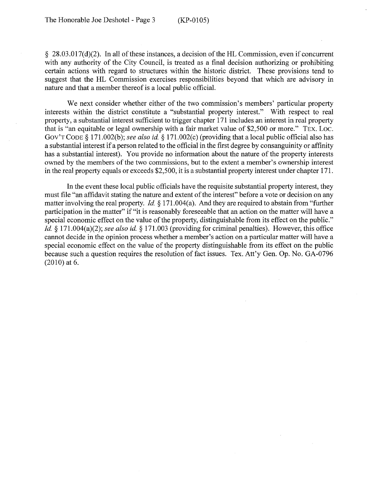§ 28.03.017(d)(2). In all of these instances, a decision of the HL Commission, even if concurrent with any authority of the City Council, is treated as a final decision authorizing or prohibiting certain actions with regard to structures within the historic district. These provisions tend to suggest that the HL Commission exercises responsibilities beyond that which are advisory in nature and that a member thereof is a local public official.

We next consider whether either of the two commission's members' particular property interests within the district constitute a "substantial property interest." With respect to real property, a substantial interest sufficient to trigger chapter 171 includes an interest in real property that is "an equitable or legal ownership with a fair market value of \$2,500 or more." TEX. Loc. GOV'T CODE § 171.002(b); *see also id.* § 171.002(c) (providing that a local public official also has a substantial interest if a person related to the official in the first degree by consanguinity or affinity has a substantial interest). You provide no information about the nature of the property interests owned by the members of the two commissions, but to the extent a member's ownership interest in the real property equals or exceeds \$2,500, it is a substantial property interest under chapter 171.

In the event these local public officials have the requisite substantial property interest, they must file "an affidavit stating the nature and extent of the interest" before a vote or decision on any matter involving the real property. *Id.* § 171.004(a). And they are required to abstain from "further participation in the matter" if "it is reasonably foreseeable that an action on the matter will have a special economic effect on the value of the property, distinguishable from its effect on the public." *Id.* § 171.004(a)(2); *see also id.* § 171.003 (providing for criminal penalties). However, this office cannot decide in the opinion process whether a member's action on a particular matter will have a special economic effect on the value of the property distinguishable from its effect on the public because such a question requires the resolution of fact issues. Tex. Att'y Gen. Op. No. GA-0796 (2010) at 6.